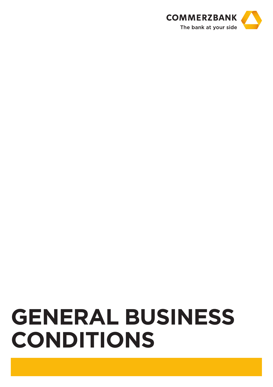

# **General Business Conditions**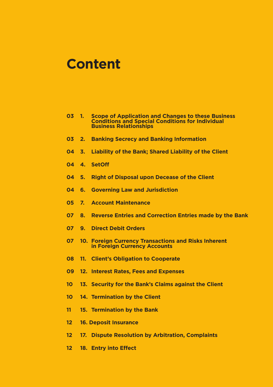# **Content**

- **1. Scope of Application and Changes to these Business Conditions and Special Conditions for Individual Business Relationships**
- **2. Banking Secrecy and Banking Information**
- **3. Liability of the Bank; Shared Liability of the Client**
- **4. SetOff**
- **5. Right of Disposal upon Decease of the Client**
- **6. Governing Law and Jurisdiction**
- **7. Account Maintenance**
- **8. Reverse Entries and Correction Entries made by the Bank**
- **9. Direct Debit Orders**
- **10. Foreign Currency Transactions and Risks Inherent in Foreign Currency Accounts**
- **11. Client's Obligation to Cooperate**
- **12. Interest Rates, Fees and Expenses**
- **13. Security for the Bank's Claims against the Client**
- **14. Termination by the Client**
- **15. Termination by the Bank**
- **16. Deposit Insurance**
- **17. Dispute Resolution by Arbitration, Complaints**
- **18. Entry into Effect**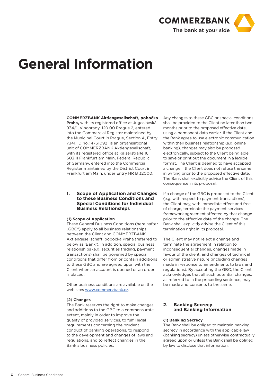

# **General Information**

## **COMMERZBANK Aktiengesellschaft, pobočka**

**Praha,** with its registered office at Jugoslávská 934/1, Vinohrady, 120 00 Prague 2, entered into the Commercial Register maintained by the Municipal Court in Prague, Section A, Entry 7341, ID no.: 47610921 is an organisational unit of COMMERZBANK Aktiengesellschaft, with its registered office at Kaiserstraße 16, 603 11 Frankfurt am Main, Federal Republic of Germany, entered into the Commercial Register maintained by the District Court in Frankfurt am Main, under Entry HR B 32000.

# **1. Scope of Application and Changes to these Business Conditions and Special Conditions for Individual Business Relationships**

#### **(1) Scope of Application**

These General Business Conditions (hereinafter "GBC") apply to all business relationships between the Client and COMMERZBANK Aktiengesellschaft, pobočka Praha (referred to below as 'Bank'). In addition, special business relationships (e.g. securities trading, payment transactions) shall be governed by special conditions that differ from or contain additions to these GBC and are agreed upon with the Client when an account is opened or an order is placed.

Other business conditions are available on the web sites www.commerzbank.cz.

# **(2) Changes**

The Bank reserves the right to make changes and additions to the GBC to a commensurate extent, mainly in order to improve the quality of provided services, to fulfil legal requirements concerning the prudent conduct of banking operations, to respond to the development and changes of laws and regulations, and to reflect changes in the Bank's business policies.

Any changes to these GBC or special conditions shall be provided to the Client no later than two months prior to the proposed effective date, using a permanent data carrier. If the Client and the Bank agree to use electronic communication within their business relationship (e.g. online banking), changes may also be proposed electronically, subject to the Client being able to save or print out the document in a legible format. The Client is deemed to have accepted a change if the Client does not refuse the same in writing prior to the proposed effective date. The Bank shall explicitly advise the Client of this consequence in its proposal.

If a change of the GBC is proposed to the Client (e.g. with respect to payment transactions), the Client may, with immediate effect and free of charge, terminate the payment services framework agreement affected by that change prior to the effective date of the change. The Bank shall explicitly advise the Client of this termination right in its proposal.

The Client may not reject a change and terminate the agreement in relation to inconsequential changes, changes made in favour of the client, and changes of technical or administrative nature (including changes made in response to amendments to laws and regulations). By accepting the GBC, the Client acknowledges that all such potential changes, as referred to in the preceding sentence, may be made and consents to the same.

# **2. Banking Secrecy and Banking Information**

# **(1) Banking Secrecy**

The Bank shall be obliged to maintain banking secrecy in accordance with the applicable law (banking secrecy) unless otherwise contractually agreed upon or unless the Bank shall be obliged by law to disclose that information.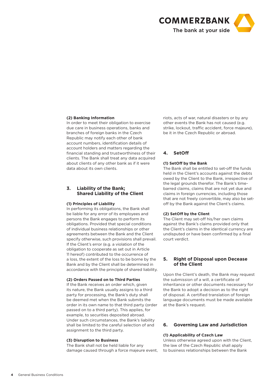

# **(2) Banking Information**

In order to meet their obligation to exercise due care in business operations, banks and branches of foreign banks in the Czech Republic may notify each other of bank account numbers, identification details of account holders and matters regarding the financial standing and trustworthiness of their clients. The Bank shall treat any data acquired about clients of any other bank as if it were data about its own clients.

# **3. Liability of the Bank; Shared Liability of the Client**

#### **(1) Principles of Liability**

In performing its obligations, the Bank shall be liable for any error of its employees and persons the Bank engages to perform its obligations. Provided that special conditions of individual business relationships or other agreements between the Bank and the Client specify otherwise, such provisions shall prevail. If the Client's error (e.g. a violation of the obligation to cooperate as set out in Article 11 hereof) contributed to the occurrence of a loss, the extent of the loss to be borne by the Bank and by the Client shall be determined in accordance with the principle of shared liability.

#### **(2) Orders Passed on to Third Parties**

If the Bank receives an order which, given its nature, the Bank usually assigns to a third party for processing, the Bank's duty shall be deemed met when the Bank submits the order in its own name to that third party (order passed on to a third party). This applies, for example, to securities deposited abroad. Under such circumstances, the Bank's liability shall be limited to the careful selection of and assignment to the third party.

#### **(3) Disruption to Business**

The Bank shall not be held liable for any damage caused through a force majeure event, riots, acts of war, natural disasters or by any other events the Bank has not caused (e.g. strike, lockout, traffic accident, force majeure), be it in the Czech Republic or abroad.

# **4. SetOff**

# **(1) SetOff by the Bank**

The Bank shall be entitled to set-off the funds held in the Client's accounts against the debts owed by the Client to the Bank, irrespective of the legal grounds therefor. The Bank's timebarred claims, claims that are not yet due and claims in foreign currencies, including those that are not freely convertible, may also be setoff by the Bank against the Client's claims.

#### **(2) SetOff by the Client**

The Client may set-off his/her own claims against the Bank's claims provided only that the Client's claims in the identical currency are undisputed or have been confirmed by a final court verdict.

# **5. Right of Disposal upon Decease of the Client**

Upon the Client's death, the Bank may request the submission of a will, a certificate of inheritance or other documents necessary for the Bank to adopt a decision as to the right of disposal. A certified translation of foreign language documents must be made available at the Bank's request.

# **6. Governing Law and Jurisdiction**

#### **(1) Applicability of Czech Law**

Unless otherwise agreed upon with the Client, the law of the Czech Republic shall apply to business relationships between the Bank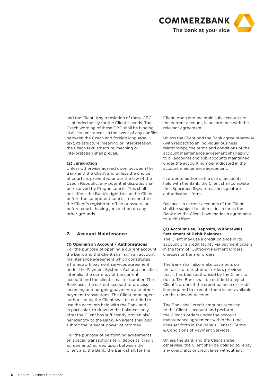

and the Client. Any translation of these GBC is intended solely for the Client's needs. The Czech wording of these GBC shall be binding in all circumstances. In the event of any conflict between the Czech and foreign language text, its structure, meaning or interpretation, the Czech text, structure, meaning or interpretation shall prevail.

## **(2) Jurisdiction**

Unless otherwise agreed upon between the Bank and the Client and unless the choice of courts is prevented under the law of the Czech Republic, any potential disputes shall be resolved by Prague courts. This shall not affect the Bank's right to sue the Client before the competent courts in respect to the Client's registered office or assets, or before courts having jurisdiction on any other grounds.

# **7. Account Maintenance**

# **(1) Opening an Account / Authorisations**

For the purpose of opening a current account, the Bank and the Client shall sign an account maintenance agreement which constitutes a framework payment services agreement under the Payment Systems Act and specifies, inter alia, the currency of the current account and the client's master number. The Bank uses the current account to process incoming and outgoing payments and other payment transactions. The Client or an agent authorised by the Client shall be entitled to use the accounts held with the Bank and, in particular, to draw on the balances only after the Client has sufficiently proven his/ her identity to the Bank. An agent shall also submit the relevant power of attorney.

For the purpose of performing agreements on special transactions (e.g. deposits, credit agreements) agreed upon between the Client and the Bank, the Bank shall, for the

Client, open and maintain sub-accounts to the current account, in accordance with the relevant agreement.

Unless the Client and the Bank agree otherwise (with respect to an individual business relationship), the terms and conditions of the account maintenance agreement shall apply to all accounts and sub-accounts maintained under the account number indicated in the account maintenance agreement.

In order to authorise the use of accounts held with the Bank, the Client shall complete the "Specimen Signatures and signature authorisation" form.

Balances in current accounts of the Client shall be subject to interest in so far as the Bank and the Client have made an agreement to such effect.

# **(2) Account Use, Deposits, Withdrawals, Settlement of Debit Balances**

The Client may use a credit balance in its account or a credit facility via payment orders in the form of 'Outgoing Payment Orders', cheques or transfer orders.

The Bank shall also make payments on the basis of direct debit orders provided that it has been authorised by the Client to do so. The Bank shall be entitled to reject Client's orders if the credit balance or credit line required to execute them is not available on the relevant account.

The Bank shall credit amounts received to the Client's account and perform the Client's orders under the account maintenance agreement within the time lines set forth in the Bank's General Terms & Conditions of Payment Services.

Unless the Bank and the Client agree otherwise, the Client shall be obliged to repay any overdrafts or credit lines without any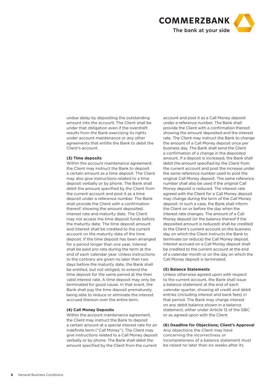

undue delay by depositing the outstanding amount into the account. The Client shall be under that obligation even if the overdraft results from the Bank exercising its rights under account maintenance or any other agreements that entitle the Bank to debit the Client's account.

## **(3) Time deposits**

Within the account maintenance agreement, the Client may instruct the Bank to deposit a certain amount as a time deposit. The Client may also give instructions related to a time deposit verbally or by phone. The Bank shall debit the amount specified by the Client from the current account and post it as a time deposit under a reference number. The Bank shall provide the Client with a confirmation thereof, showing the amount deposited, interest rate and maturity date. The Client may not access the time deposit funds before the maturity date. The time deposit amount and interest shall be credited to the current account on the maturity date of the time deposit. If the time deposit has been arranged for a period longer than one year, interest shall be paid pro rata during the term at the end of each calendar year. Unless instructions to the contrary are given no later than two days before the maturity date, the Bank shall be entitled, but not obliged, to extend the time deposit for the same period at the then valid interest rate. A time deposit may only be terminated for good cause. In that event, the Bank shall pay the time deposit prematurely, being able to reduce or eliminate the interest accrued thereon over the entire term.

#### **(4) Call Money Deposits**

Within the account maintenance agreement. the Client may instruct the Bank to deposit a certain amount at a special interest rate for an indefinite term ("Call Money"). The Client may give instructions related to a Call Money deposit verbally or by phone. The Bank shall debit the amount specified by the Client from the current

account and post it as a Call Money deposit under a reference number. The Bank shall provide the Client with a confirmation thereof, showing the amount deposited and the interest rate. The Client may instruct the Bank to change the amount of a Call Money deposit once per business day. The Bank shall send the Client a confirmation of a change in the deposited amount. If a deposit is increased, the Bank shall debit the amount specified by the Client from the current account and post the increase under the same reference number used to post the original Call Money deposit. The same reference number shall also be used if the original Call Money deposit is reduced. The interest rate agreed with the Client for a Call Money deposit may change during the term of the Call Money deposit. In such a case, the Bank shall inform the Client on or before the day when the interest rate changes. The amount of a Call Money deposit (or the balance thereof if the deposited amount is reduced) shall be credited to the Client's current account on the business day on which the Client instructs the Bank to terminate (or reduce) the Call Money deposit. Interest accrued on a Call Money deposit shall be credited to the current account at the end of a calendar month or on the day on which the Call Money deposit is terminated.

# **(5) Balance Statements**

Unless otherwise agreed upon with respect to the current account, the Bank shall issue a balance statement at the end of each calendar quarter, showing all credit and debit entries (including interest and bank fees) in that period. The Bank may charge interest on any debit balance shown in a balance statement, either under Article 12 of the GBC or as agreed upon with the Client.

# **(6) Deadline for Objections; Client's Approval**

Any objections the Client may have concerning the incorrectness or incompleteness of a balance statement must be raised no later than six weeks after its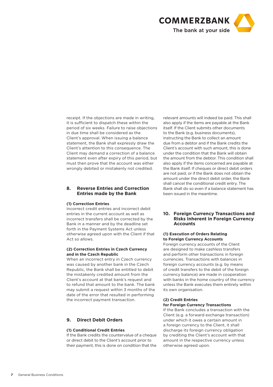

receipt. If the objections are made in writing, it is sufficient to dispatch these within the period of six weeks. Failure to raise objections in due time shall be considered as the Client's approval. When issuing a balance statement, the Bank shall expressly draw the Client's attention to this consequence. The Client may demand a correction of a balance statement even after expiry of this period, but must then prove that the account was either wrongly debited or mistakenly not credited.

# **8. Reverse Entries and Correction Entries made by the Bank**

# **(1) Correction Entries**

Incorrect credit entries and incorrect debit entries in the current account as well as incorrect transfers shall be corrected by the Bank in a manner and by the deadline set forth in the Payment Systems Act unless otherwise agreed upon with the Client if that Act so allows.

# **(2) Correction Entries in Czech Currency and in the Czech Republic**

When an incorrect entry in Czech currency was caused by another bank in the Czech Republic, the Bank shall be entitled to debit the mistakenly credited amount from the Client's account at that bank's request and to refund that amount to the bank. The bank may submit a request within 3 months of the date of the error that resulted in performing the incorrect payment transaction.

# **9. Direct Debit Orders**

# **(1) Conditional Credit Entries**

If the Bank credits the countervalue of a cheque or direct debit to the Client's account prior to their payment, this is done on condition that the

relevant amounts will indeed be paid. This shall also apply if the items are payable at the Bank itself. If the Client submits other documents to the Bank (e.g. business documents), instructing the Bank to collect an amount due from a debtor and if the Bank credits the Client's account with such amount, this is done under the condition that the Bank will obtain the amount from the debtor. This condition shall also apply if the items concerned are payable at the Bank itself. If cheques or direct debit orders are not paid, or if the Bank does not obtain the amount under the direct debit order, the Bank shall cancel the conditional credit entry. The Bank shall do so even if a balance statement has been issued in the meantime.

# **10. Foreign Currency Transactions and Risks Inherent in Foreign Currency Accounts**

# **(1) Execution of Orders Relating to Foreign Currency Accounts**

Foreign currency accounts of the Client are designed to make cashless transfers and perform other transactions in foreign currencies. Transactions with balances in foreign currency accounts (e.g. by means of credit transfers to the debit of the foreign currency balance) are made in cooperation with banks in the home country of the currency unless the Bank executes them entirely within its own organisation.

# **(2) Credit Entries**

# **for Foreign Currency Transactions**

If the Bank concludes a transaction with the Client (e.g. a forward exchange transaction) under which it owes a certain amount in a foreign currency to the Client, it shall discharge its foreign currency obligation by crediting the Client's account with that amount in the respective currency unless otherwise agreed upon.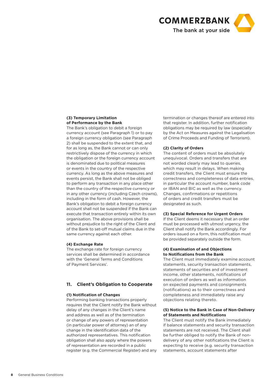

# **(3) Temporary Limitation of Performance by the Bank**

The Bank's obligation to debit a foreign currency account (see Paragraph 1) or to pay a foreign currency obligation (see Paragraph 2) shall be suspended to the extent that, and for as long as, the Bank cannot or can only restrictively dispose of the currency in which the obligation or the foreign currency account is denominated due to political measures or events in the country of the respective currency. As long as the above measures and events persist, the Bank shall not be obliged to perform any transaction in any place other than the country of the respective currency or in any other currency (including Czech crowns), including in the form of cash. However, the Bank's obligation to debit a foreign currency account shall not be suspended if the Bank can execute that transaction entirely within its own organisation. The above provisions shall be without prejudice to the right of the Client and of the Bank to set-off mutual claims due in the same currency against each other.

#### **(4) Exchange Rate**

The exchange rate for foreign currency services shall be determined in accordance with the 'General Terms and Conditions of Payment Services'.

# **11. Client's Obligation to Cooperate**

#### **(1) Notification of Changes**

Performing banking transactions properly requires that the Client notify the Bank without delay of any changes in the Client's name and address as well as of the termination or change of any powers of representation (in particular power of attorney) an of any change in the identification data of the authorized representatives. This notification obligation shall also apply where the powers of representation are recorded in a public register (e.g. the Commercial Register) and any termination or changes thereof are entered into that register. In addition, further notification obligations may be required by law (especially by the Act on Measures against the Legalisation of Crime Proceeds and Funding of Terrorism).

# **(2) Clarity of Orders**

The content of orders must be absolutely unequivocal. Orders and transfers that are not worded clearly may lead to queries, which may result in delays. When making credit transfers, the Client must ensure the correctness and completeness of data entries, in particular the account number, bank code or IBAN and BIC as well as the currency. Changes, confirmations or repetitions of orders and credit transfers must be designated as such.

# **(3) Special Reference for Urgent Orders**

If the Client deems it necessary that an order must be processed with utmost urgency, the Client shall notify the Bank accordingly. For orders issued on a form, this notification must be provided separately outside the form.

# **(4) Examination of and Objections to Notifications from the Bank**

The Client must immediately examine account statements, security transaction statements, statements of securities and of investment income, other statements, notifications of execution of orders as well as information on expected payments and consignments (notifications) as to their correctness and completeness and immediately raise any objections relating thereto.

# **(5) Notice to the Bank in Case of Non-Delivery of Statements and Notifications**

The Client must notify the Bank immediately if balance statements and security transaction statements are not received. The Client shall be further obliged to notify the Bank of nondelivery of any other notifications the Client is expecting to receive (e.g. security transaction statements, account statements after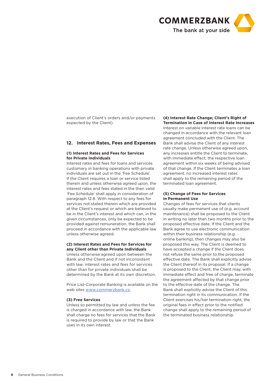

execution of Client's orders and/or payments expected by the Client).

# **12. Interest Rates, Fees and Expenses**

# **(1) Interest Rates and Fees for Services for Private Individuals**

Interest rates and fees for loans and services customary in banking operations with private individuals are set out in the 'Fee Schedule'. If the Client requires a loan or service listed therein and unless otherwise agreed upon, the interest rates and fees stated in the then valid 'Fee Schedule' shall apply in consideration of paragraph 12.8. With respect to any fees for services not stated therein which are provided at the Client's request or which are believed to be in the Client's interest and which can, in the given circumstances, only be expected to be provided against remuneration, the Bank shall proceed in accordance with the applicable law unless otherwise agreed.

# **(2) Interest Rates and Fees for Services for any Client other than Private Individuals**

Unless otherwise agreed upon between the Bank and the Client and if not inconsistent with law, interest rates and fees for services other than for private individuals shall be determined by the Bank at its own discretion.

Price List-Corporate Banking is available on the web sites www.commerzbank.cz.

#### **(3) Free Services**

Unless so permitted by law and unless the fee is charged in accordance with law, the Bank shall charge no fees for services that the Bank is required to provide by law or that the Bank uses in its own interest.

#### **(4) Interest Rate Change; Client's Right of Termination in Case of Interest Rate Increases**

Interest on variable interest rate loans can be changed in accordance with the relevant loan agreement concluded with the Client. The Bank shall advise the Client of any interest rate change. Unless otherwise agreed upon, any increases entitle the Client to terminate, with immediate effect, the respective loan agreement within six weeks of being advised of that change. If the Client terminates a loan agreement, no increased interest rates shall apply to the remaining period of the terminated loan agreement.

#### **(5) Change of Fees for Services in Permanent Use**

Changes of fees for services that clients usually make permanent use of (e.g. account maintenance) shall be proposed to the Client in writing no later than two months prior to the proposed effective date. If the Client and the Bank agree to use electronic communication within their business relationship (e.g. online banking), then changes may also be proposed this way. The Client is deemed to have accepted a change if the Client does not refuse the same prior to the proposed effective date. The Bank shall explicitly advise the Client thereof in its proposal. If a change is proposed to the Client, the Client may, with immediate effect and free of charge, terminate the agreement affected by that change prior to the effective date of the change. The Bank shall explicitly advise the Client of this termination right in its communication. If the Client exercises his/her termination right, the original fees in effect prior to the notified change shall apply to the remaining period of the terminated business relationship.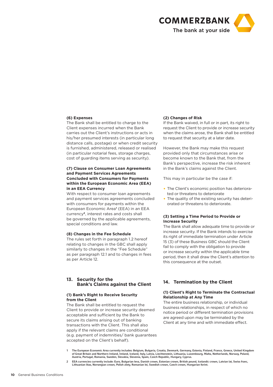

# **(6) Expenses**

The Bank shall be entitled to charge to the Client expenses incurred when the Bank carries out the Client's instructions or acts in his/her presumed interests (in particular long distance calls, postage) or when credit security is furnished, administered, released or realised (in particular notarial fees, storage charges, cost of guarding items serving as security).

# **(7) Clause on Consumer Loan Agreements and Payment Services Agreements Concluded with Consumers for Payments within the European Economic Area (EEA) in an EEA Currency**

With respect to consumer loan agreements and payment services agreements concluded with consumers for payments within the European Economic Area**<sup>1</sup>** (EEA) in an EEA currency**2**, interest rates and costs shall be governed by the applicable agreements, special conditions and law.

# **(8) Changes in the Fee Schedule**

The rules set forth in paragraph 1.2 hereof relating to changes in the GBC shall apply similarly to changes in the "Fee Schedule" as per paragraph 12.1 and to changes in fees as per Article 12.

# **13. Security for the Bank's Claims against the Client**

#### **(1) Bank's Right to Receive Security from the Client**

The Bank shall be entitled to request the Client to provide or increase security deemed acceptable and sufficient by the Bank to secure its claims arising out of banking transactions with the Client. This shall also apply if the relevant claims are conditional (e.g. payment of indemnities/ bank guarantees accepted on the Client's behalf).

## **(2) Changes of Risk**

If the Bank waived, in full or in part, its right to request the Client to provide or increase security when the claims arose, the Bank shall be entitled to request that security at a later date.

However, the Bank may make this request provided only that circumstances arise or become known to the Bank that, from the Bank's perspective, increase the risk inherent in the Bank's claims against the Client.

This may in particular be the case if:

- The Client's economic position has deteriorated or threatens to deteriorate
- The quality of the existing security has deteriorated or threatens to deteriorate.

# **(3) Setting a Time Period to Provide or Increase Security**

The Bank shall allow adequate time to provide or increase security. If the Bank intends to exercise its right of immediate termination under Article 15 (3) of these Business GBC should the Client fail to comply with the obligation to provide or increase security within the applicable time period, then it shall draw the Client's attention to this consequence at the outset.

# **14. Termination by the Client**

# **(1) Client's Right to Terminate the Contractual Relationship at Any Time**

The entire business relationship, or individual business relationships, in respect of which no notice period or different termination provisions are agreed upon may be terminated by the Client at any time and with immediate effect.

- 1 The European Economic Area currently includes: Belgium, Bulgaria, Croatia, Denmark, Germany, Estonia, Finland, France, Greece, United Kingdom of Great Britain and Northern Ireland, Ireland, Iceland, Italy, Latvia, Liechtenstein, Lithuania, Luxembourg, Malta, Netherlands, Norway, Poland, Austria, Portugal, Romania, Sweden, Slovakia, Slovenia, Spain, Czech Republic, Hungary, Cyprus.
- 2 EEA currencies currently include: Euro, Bulgarian leva, Danish crown, Estonian crown, British pound, Icelandic crown, Latvian lat, Swiss franc, Lithuanian litas, Norwegian crown, Polish zloty, Romanian lei, Swedish crown, Czech crown, Hungarian forint.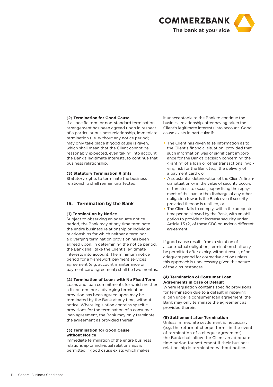

# **(2) Termination for Good Cause**

If a specific term or non-standard termination arrangement has been agreed upon in respect of a particular business relationship, immediate termination (i.e. without any notice period) may only take place if good cause is given, which shall mean that the Client cannot be reasonably expected, even taking into account the Bank's legitimate interests, to continue that business relationship.

# **(3) Statutory Termination Rights**

Statutory rights to terminate the business relationship shall remain unaffected.

# **15. Termination by the Bank**

#### **(1) Termination by Notice**

Subject to observing an adequate notice period, the Bank may at any time terminate the entire business relationship or individual relationships for which neither a term nor a diverging termination provision has been agreed upon. In determining the notice period, the Bank shall take the Client's legitimate interests into account. The minimum notice period for a framework payment services agreement (e.g. account maintenance or payment card agreement) shall be two months.

# **(2) Termination of Loans with No Fixed Term**

Loans and loan commitments for which neither a fixed term nor a diverging termination provision has been agreed upon may be terminated by the Bank at any time, without notice. Where legislation contains specific provisions for the termination of a consumer loan agreement, the Bank may only terminate the agreement as provided therein.

# **(3) Termination for Good Cause without Notice**

Immediate termination of the entire business relationship or individual relationships is permitted if good cause exists which makes

it unacceptable to the Bank to continue the business relationship, after having taken the Client's legitimate interests into account. Good cause exists in particular if:

- The Client has given false information as to the Client's financial situation, provided that such information was of significant importance for the Bank's decision concerning the granting of a loan or other transactions involving risk for the Bank (e.g. the delivery of a payment card), or
- A substantial deterioration of the Client's financial situation or in the value of security occurs or threatens to occur, jeopardising the repayment of the loan or the discharge of any other obligation towards the Bank even if security provided thereon is realised, or
- The Client fails to comply, within the adequate time period allowed by the Bank, with an obligation to provide or increase security under Article 13 (2) of these GBC or under a different agreement.

If good cause results from a violation of a contractual obligation, termination shall only be permitted after expiry, without result, of an adequate period for corrective action unless this approach is unnecessary given the nature of the circumstances.

# **(4) Termination of Consumer Loan Agreements in Case of Default**

Where legislation contains specific provisions for termination due to a default in repaying a loan under a consumer loan agreement, the Bank may only terminate the agreement as provided therein.

#### **(5) Settlement after Termination**

Unless immediate settlement is necessary (e.g. the return of cheque forms in the event of termination of a cheque agreement), the Bank shall allow the Client an adequate time period for settlement if their business relationship is terminated without notice.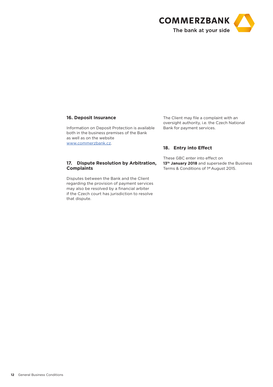

# **16. Deposit Insurance**

Information on Deposit Protection is available both in the business premises of the Bank as well as on the website www.commerzbank.cz.

# **17. Dispute Resolution by Arbitration, Complaints**

Disputes between the Bank and the Client regarding the provision of payment services may also be resolved by a financial arbiter if the Czech court has jurisdiction to resolve that dispute.

The Client may file a complaint with an oversight authority, i.e. the Czech National Bank for payment services.

# **18. Entry into Effect**

These GBC enter into effect on 13<sup>th</sup> January 2018 and supersede the Business Terms & Conditions of 1st August 2015.